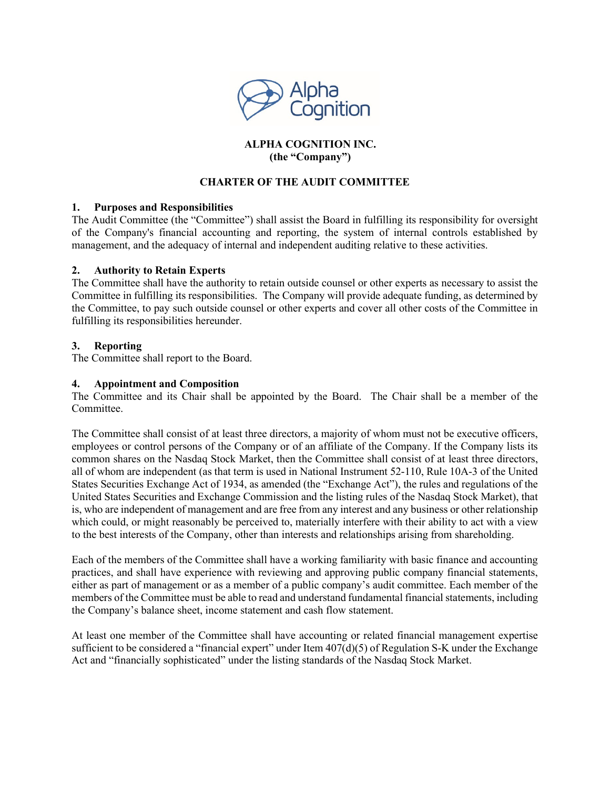

## **ALPHA COGNITION INC. (the "Company")**

## **CHARTER OF THE AUDIT COMMITTEE**

### **1. Purposes and Responsibilities**

The Audit Committee (the "Committee") shall assist the Board in fulfilling its responsibility for oversight of the Company's financial accounting and reporting, the system of internal controls established by management, and the adequacy of internal and independent auditing relative to these activities.

### **2. Authority to Retain Experts**

The Committee shall have the authority to retain outside counsel or other experts as necessary to assist the Committee in fulfilling its responsibilities. The Company will provide adequate funding, as determined by the Committee, to pay such outside counsel or other experts and cover all other costs of the Committee in fulfilling its responsibilities hereunder.

### **3. Reporting**

The Committee shall report to the Board.

### **4. Appointment and Composition**

The Committee and its Chair shall be appointed by the Board. The Chair shall be a member of the Committee.

The Committee shall consist of at least three directors, a majority of whom must not be executive officers, employees or control persons of the Company or of an affiliate of the Company. If the Company lists its common shares on the Nasdaq Stock Market, then the Committee shall consist of at least three directors, all of whom are independent (as that term is used in National Instrument 52-110, Rule 10A-3 of the United States Securities Exchange Act of 1934, as amended (the "Exchange Act"), the rules and regulations of the United States Securities and Exchange Commission and the listing rules of the Nasdaq Stock Market), that is, who are independent of management and are free from any interest and any business or other relationship which could, or might reasonably be perceived to, materially interfere with their ability to act with a view to the best interests of the Company, other than interests and relationships arising from shareholding.

Each of the members of the Committee shall have a working familiarity with basic finance and accounting practices, and shall have experience with reviewing and approving public company financial statements, either as part of management or as a member of a public company's audit committee. Each member of the members of the Committee must be able to read and understand fundamental financial statements, including the Company's balance sheet, income statement and cash flow statement.

At least one member of the Committee shall have accounting or related financial management expertise sufficient to be considered a "financial expert" under Item  $407(d)(5)$  of Regulation S-K under the Exchange Act and "financially sophisticated" under the listing standards of the Nasdaq Stock Market.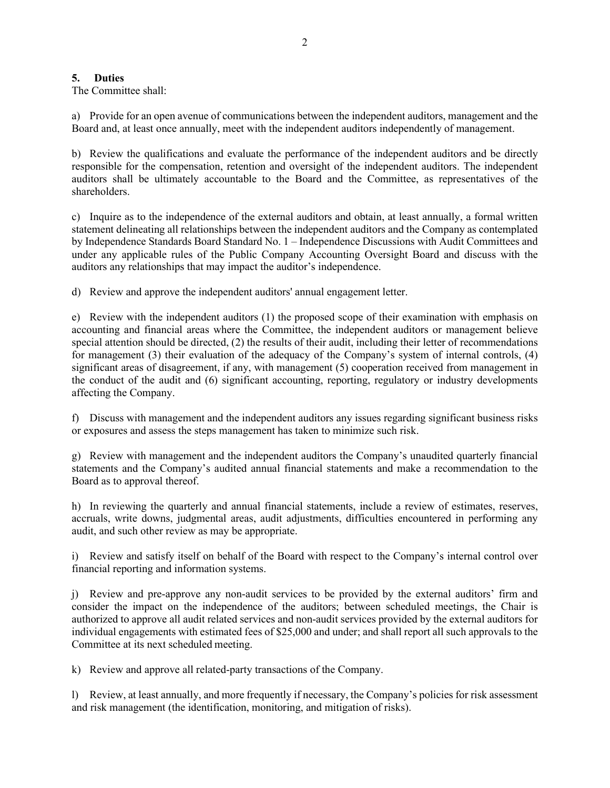# **5. Duties**

The Committee shall:

a) Provide for an open avenue of communications between the independent auditors, management and the Board and, at least once annually, meet with the independent auditors independently of management.

b) Review the qualifications and evaluate the performance of the independent auditors and be directly responsible for the compensation, retention and oversight of the independent auditors. The independent auditors shall be ultimately accountable to the Board and the Committee, as representatives of the shareholders.

c) Inquire as to the independence of the external auditors and obtain, at least annually, a formal written statement delineating all relationships between the independent auditors and the Company as contemplated by Independence Standards Board Standard No. 1 – Independence Discussions with Audit Committees and under any applicable rules of the Public Company Accounting Oversight Board and discuss with the auditors any relationships that may impact the auditor's independence.

d) Review and approve the independent auditors' annual engagement letter.

e) Review with the independent auditors (1) the proposed scope of their examination with emphasis on accounting and financial areas where the Committee, the independent auditors or management believe special attention should be directed, (2) the results of their audit, including their letter of recommendations for management (3) their evaluation of the adequacy of the Company's system of internal controls, (4) significant areas of disagreement, if any, with management (5) cooperation received from management in the conduct of the audit and (6) significant accounting, reporting, regulatory or industry developments affecting the Company.

f) Discuss with management and the independent auditors any issues regarding significant business risks or exposures and assess the steps management has taken to minimize such risk.

g) Review with management and the independent auditors the Company's unaudited quarterly financial statements and the Company's audited annual financial statements and make a recommendation to the Board as to approval thereof.

h) In reviewing the quarterly and annual financial statements, include a review of estimates, reserves, accruals, write downs, judgmental areas, audit adjustments, difficulties encountered in performing any audit, and such other review as may be appropriate.

i) Review and satisfy itself on behalf of the Board with respect to the Company's internal control over financial reporting and information systems.

j) Review and pre-approve any non-audit services to be provided by the external auditors' firm and consider the impact on the independence of the auditors; between scheduled meetings, the Chair is authorized to approve all audit related services and non-audit services provided by the external auditors for individual engagements with estimated fees of \$25,000 and under; and shall report all such approvals to the Committee at its next scheduled meeting.

k) Review and approve all related-party transactions of the Company.

l) Review, at least annually, and more frequently if necessary, the Company's policies for risk assessment and risk management (the identification, monitoring, and mitigation of risks).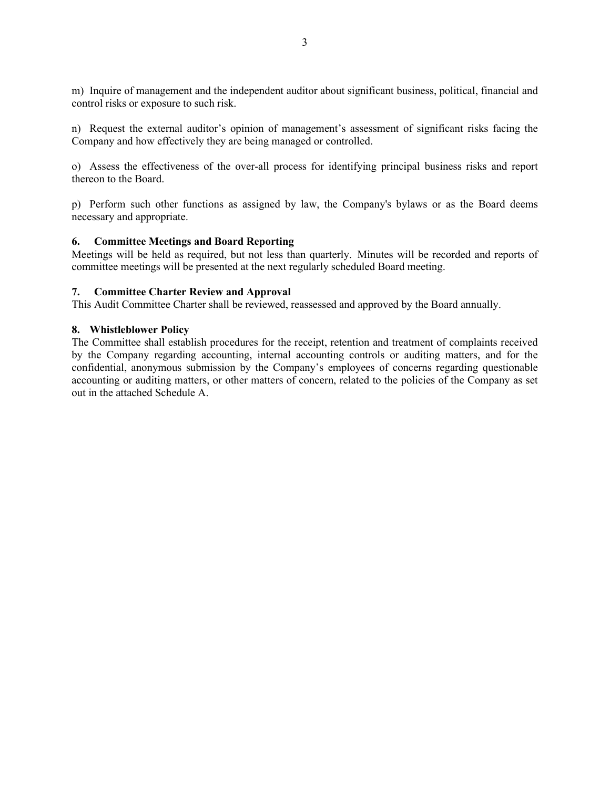m) Inquire of management and the independent auditor about significant business, political, financial and control risks or exposure to such risk.

n) Request the external auditor's opinion of management's assessment of significant risks facing the Company and how effectively they are being managed or controlled.

o) Assess the effectiveness of the over-all process for identifying principal business risks and report thereon to the Board.

p) Perform such other functions as assigned by law, the Company's bylaws or as the Board deems necessary and appropriate.

#### **6. Committee Meetings and Board Reporting**

Meetings will be held as required, but not less than quarterly. Minutes will be recorded and reports of committee meetings will be presented at the next regularly scheduled Board meeting.

#### **7. Committee Charter Review and Approval**

This Audit Committee Charter shall be reviewed, reassessed and approved by the Board annually.

#### **8. Whistleblower Policy**

The Committee shall establish procedures for the receipt, retention and treatment of complaints received by the Company regarding accounting, internal accounting controls or auditing matters, and for the confidential, anonymous submission by the Company's employees of concerns regarding questionable accounting or auditing matters, or other matters of concern, related to the policies of the Company as set out in the attached Schedule A.